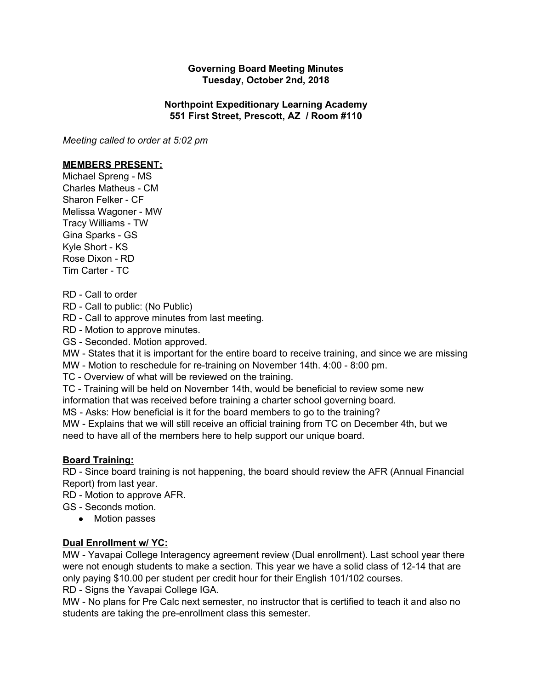## **Governing Board Meeting Minutes Tuesday, October 2nd, 2018**

## **Northpoint Expeditionary Learning Academy 551 First Street, Prescott, AZ / Room #110**

*Meeting called to order at 5:02 pm*

#### **MEMBERS PRESENT:**

Michael Spreng - MS Charles Matheus - CM Sharon Felker - CF Melissa Wagoner - MW Tracy Williams - TW Gina Sparks - GS Kyle Short - KS Rose Dixon - RD Tim Carter - TC

RD - Call to order

RD - Call to public: (No Public)

RD - Call to approve minutes from last meeting.

RD - Motion to approve minutes.

GS - Seconded. Motion approved.

MW - States that it is important for the entire board to receive training, and since we are missing

MW - Motion to reschedule for re-training on November 14th. 4:00 - 8:00 pm.

TC - Overview of what will be reviewed on the training.

TC - Training will be held on November 14th, would be beneficial to review some new

information that was received before training a charter school governing board.

MS - Asks: How beneficial is it for the board members to go to the training?

MW - Explains that we will still receive an official training from TC on December 4th, but we need to have all of the members here to help support our unique board.

## **Board Training:**

RD - Since board training is not happening, the board should review the AFR (Annual Financial Report) from last year.

RD - Motion to approve AFR.

GS - Seconds motion.

● Motion passes

## **Dual Enrollment w/ YC:**

MW - Yavapai College Interagency agreement review (Dual enrollment). Last school year there were not enough students to make a section. This year we have a solid class of 12-14 that are only paying \$10.00 per student per credit hour for their English 101/102 courses. RD - Signs the Yavapai College IGA.

MW - No plans for Pre Calc next semester, no instructor that is certified to teach it and also no students are taking the pre-enrollment class this semester.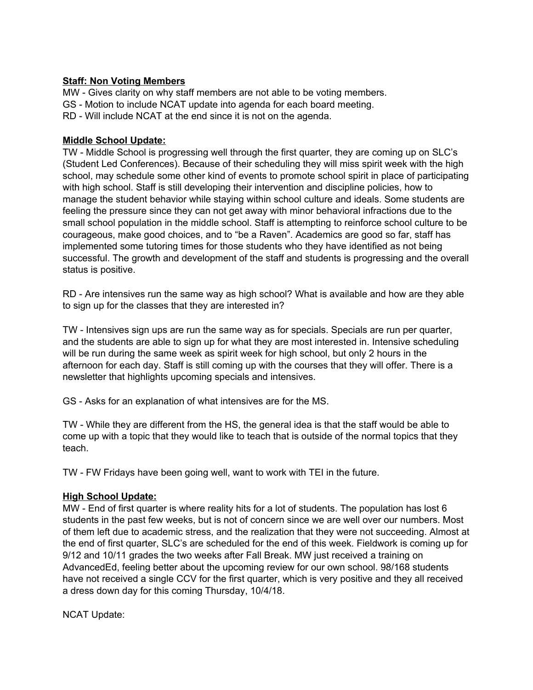# **Staff: Non Voting Members**

MW - Gives clarity on why staff members are not able to be voting members. GS - Motion to include NCAT update into agenda for each board meeting. RD - Will include NCAT at the end since it is not on the agenda.

# **Middle School Update:**

TW - Middle School is progressing well through the first quarter, they are coming up on SLC's (Student Led Conferences). Because of their scheduling they will miss spirit week with the high school, may schedule some other kind of events to promote school spirit in place of participating with high school. Staff is still developing their intervention and discipline policies, how to manage the student behavior while staying within school culture and ideals. Some students are feeling the pressure since they can not get away with minor behavioral infractions due to the small school population in the middle school. Staff is attempting to reinforce school culture to be courageous, make good choices, and to "be a Raven". Academics are good so far, staff has implemented some tutoring times for those students who they have identified as not being successful. The growth and development of the staff and students is progressing and the overall status is positive.

RD - Are intensives run the same way as high school? What is available and how are they able to sign up for the classes that they are interested in?

TW - Intensives sign ups are run the same way as for specials. Specials are run per quarter, and the students are able to sign up for what they are most interested in. Intensive scheduling will be run during the same week as spirit week for high school, but only 2 hours in the afternoon for each day. Staff is still coming up with the courses that they will offer. There is a newsletter that highlights upcoming specials and intensives.

GS - Asks for an explanation of what intensives are for the MS.

TW - While they are different from the HS, the general idea is that the staff would be able to come up with a topic that they would like to teach that is outside of the normal topics that they teach.

TW - FW Fridays have been going well, want to work with TEI in the future.

## **High School Update:**

MW - End of first quarter is where reality hits for a lot of students. The population has lost 6 students in the past few weeks, but is not of concern since we are well over our numbers. Most of them left due to academic stress, and the realization that they were not succeeding. Almost at the end of first quarter, SLC's are scheduled for the end of this week. Fieldwork is coming up for 9/12 and 10/11 grades the two weeks after Fall Break. MW just received a training on AdvancedEd, feeling better about the upcoming review for our own school. 98/168 students have not received a single CCV for the first quarter, which is very positive and they all received a dress down day for this coming Thursday, 10/4/18.

NCAT Update: